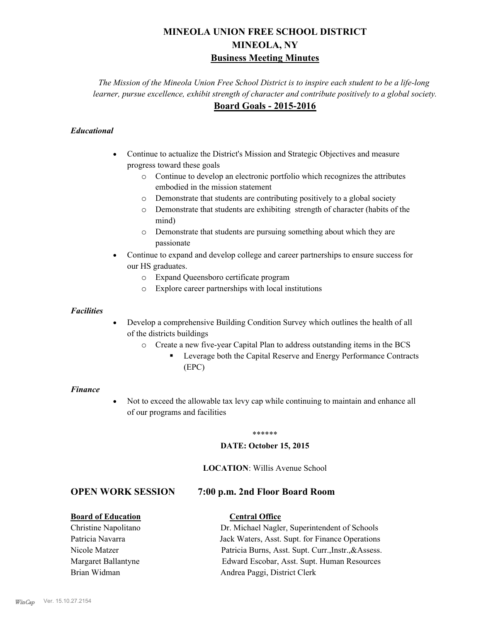# **MINEOLA UNION FREE SCHOOL DISTRICT MINEOLA, NY Business Meeting Minutes**

*The Mission of the Mineola Union Free School District is to inspire each student to be a life-long learner, pursue excellence, exhibit strength of character and contribute positively to a global society.* **Board Goals - 2015-2016**

## *Educational*

- · Continue to actualize the District's Mission and Strategic Objectives and measure progress toward these goals
	- o Continue to develop an electronic portfolio which recognizes the attributes embodied in the mission statement
	- o Demonstrate that students are contributing positively to a global society
	- o Demonstrate that students are exhibiting strength of character (habits of the mind)
	- o Demonstrate that students are pursuing something about which they are passionate
- Continue to expand and develop college and career partnerships to ensure success for our HS graduates.
	- o Expand Queensboro certificate program
	- o Explore career partnerships with local institutions

#### *Facilities*

- Develop a comprehensive Building Condition Survey which outlines the health of all of the districts buildings
	- o Create a new five-year Capital Plan to address outstanding items in the BCS
		- § Leverage both the Capital Reserve and Energy Performance Contracts (EPC)

#### *Finance*

• Not to exceed the allowable tax levy cap while continuing to maintain and enhance all of our programs and facilities

#### \*\*\*\*\*\*

#### **DATE: October 15, 2015**

#### **LOCATION**: Willis Avenue School

# **OPEN WORK SESSION 7:00 p.m. 2nd Floor Board Room**

### **Board of Education Central Office**

# Christine Napolitano Dr. Michael Nagler, Superintendent of Schools Patricia Navarra Jack Waters, Asst. Supt. for Finance Operations Nicole Matzer Patricia Burns, Asst. Supt. Curr.,Instr.,&Assess. Margaret Ballantyne Edward Escobar, Asst. Supt. Human Resources Brian Widman **Andrea Paggi, District Clerk**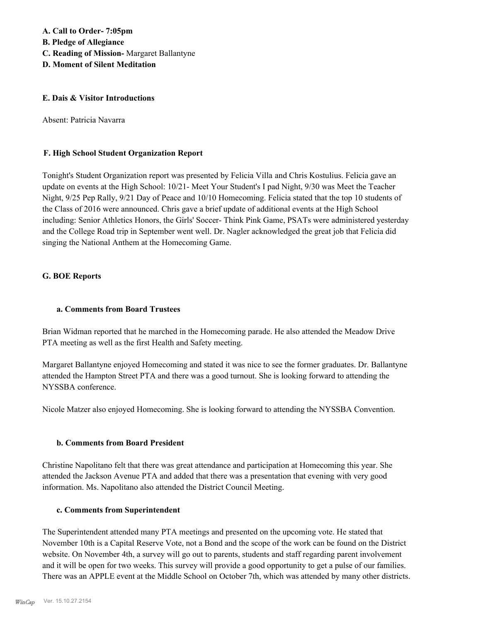**A. Call to Order- 7:05pm B. Pledge of Allegiance C. Reading of Mission-** Margaret Ballantyne **D. Moment of Silent Meditation**

#### **E. Dais & Visitor Introductions**

Absent: Patricia Navarra

### **F. High School Student Organization Report**

Tonight's Student Organization report was presented by Felicia Villa and Chris Kostulius. Felicia gave an update on events at the High School: 10/21- Meet Your Student's I pad Night, 9/30 was Meet the Teacher Night, 9/25 Pep Rally, 9/21 Day of Peace and 10/10 Homecoming. Felicia stated that the top 10 students of the Class of 2016 were announced. Chris gave a brief update of additional events at the High School including: Senior Athletics Honors, the Girls' Soccer- Think Pink Game, PSATs were administered yesterday and the College Road trip in September went well. Dr. Nagler acknowledged the great job that Felicia did singing the National Anthem at the Homecoming Game.

### **G. BOE Reports**

### **a. Comments from Board Trustees**

Brian Widman reported that he marched in the Homecoming parade. He also attended the Meadow Drive PTA meeting as well as the first Health and Safety meeting.

Margaret Ballantyne enjoyed Homecoming and stated it was nice to see the former graduates. Dr. Ballantyne attended the Hampton Street PTA and there was a good turnout. She is looking forward to attending the NYSSBA conference.

Nicole Matzer also enjoyed Homecoming. She is looking forward to attending the NYSSBA Convention.

### **b. Comments from Board President**

Christine Napolitano felt that there was great attendance and participation at Homecoming this year. She attended the Jackson Avenue PTA and added that there was a presentation that evening with very good information. Ms. Napolitano also attended the District Council Meeting.

### **c. Comments from Superintendent**

The Superintendent attended many PTA meetings and presented on the upcoming vote. He stated that November 10th is a Capital Reserve Vote, not a Bond and the scope of the work can be found on the District website. On November 4th, a survey will go out to parents, students and staff regarding parent involvement and it will be open for two weeks. This survey will provide a good opportunity to get a pulse of our families. There was an APPLE event at the Middle School on October 7th, which was attended by many other districts.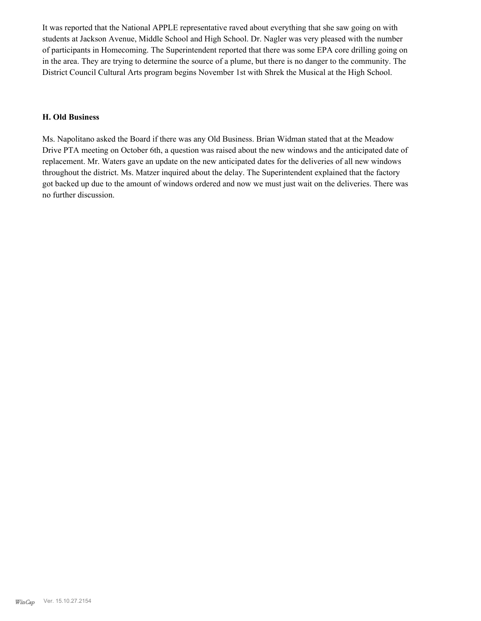It was reported that the National APPLE representative raved about everything that she saw going on with students at Jackson Avenue, Middle School and High School. Dr. Nagler was very pleased with the number of participants in Homecoming. The Superintendent reported that there was some EPA core drilling going on in the area. They are trying to determine the source of a plume, but there is no danger to the community. The District Council Cultural Arts program begins November 1st with Shrek the Musical at the High School.

### **H. Old Business**

Ms. Napolitano asked the Board if there was any Old Business. Brian Widman stated that at the Meadow Drive PTA meeting on October 6th, a question was raised about the new windows and the anticipated date of replacement. Mr. Waters gave an update on the new anticipated dates for the deliveries of all new windows throughout the district. Ms. Matzer inquired about the delay. The Superintendent explained that the factory got backed up due to the amount of windows ordered and now we must just wait on the deliveries. There was no further discussion.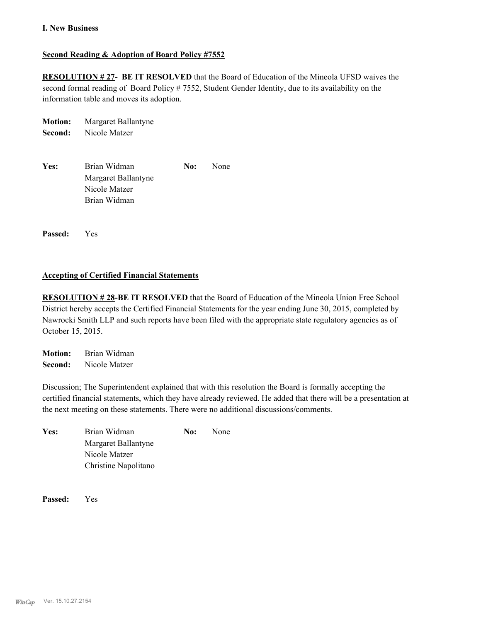#### **I. New Business**

### **Second Reading & Adoption of Board Policy #7552**

**RESOLUTION # 27- BE IT RESOLVED** that the Board of Education of the Mineola UFSD waives the second formal reading of Board Policy # 7552, Student Gender Identity, due to its availability on the information table and moves its adoption.

| <b>Motion:</b> | Margaret Ballantyne |     |      |
|----------------|---------------------|-----|------|
| Second:        | Nicole Matzer       |     |      |
|                |                     |     |      |
| Yes:           | Brian Widman        | No: | None |
|                | Margaret Ballantyne |     |      |
|                | Nicole Matzer       |     |      |
|                | Brian Widman        |     |      |
|                |                     |     |      |

**Passed:** Yes

#### **Accepting of Certified Financial Statements**

**RESOLUTION # 28-BE IT RESOLVED** that the Board of Education of the Mineola Union Free School District hereby accepts the Certified Financial Statements for the year ending June 30, 2015, completed by Nawrocki Smith LLP and such reports have been filed with the appropriate state regulatory agencies as of October 15, 2015.

**Motion:** Brian Widman **Second:** Nicole Matzer

Discussion; The Superintendent explained that with this resolution the Board is formally accepting the certified financial statements, which they have already reviewed. He added that there will be a presentation at the next meeting on these statements. There were no additional discussions/comments.

| Yes: | Brian Widman         | No: |  |
|------|----------------------|-----|--|
|      | Margaret Ballantyne  |     |  |
|      | Nicole Matzer        |     |  |
|      | Christine Napolitano |     |  |

**Passed:** Yes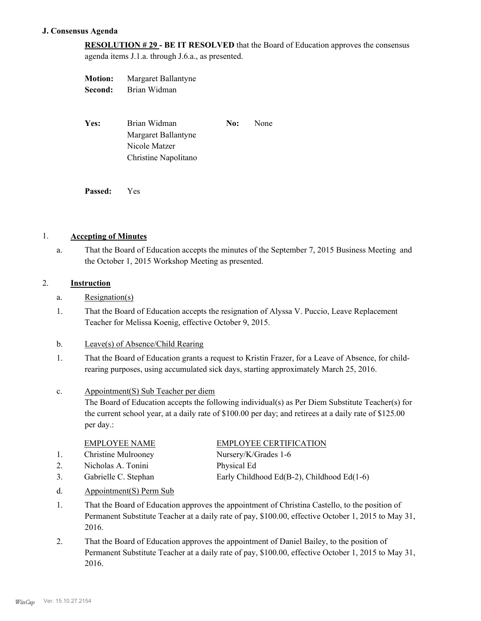#### **J. Consensus Agenda**

**RESOLUTION # 29 - BE IT RESOLVED** that the Board of Education approves the consensus agenda items J.1.a. through J.6.a., as presented.

| <b>Motion:</b> | Margaret Ballantyne  |     |      |
|----------------|----------------------|-----|------|
| Second:        | Brian Widman         |     |      |
|                |                      |     |      |
|                |                      |     |      |
| Yes:           | Brian Widman         | No: | None |
|                | Margaret Ballantyne  |     |      |
|                | Nicole Matzer        |     |      |
|                | Christine Napolitano |     |      |
|                |                      |     |      |
|                |                      |     |      |

**Passed:** Yes

#### 1. **Accepting of Minutes**

That the Board of Education accepts the minutes of the September 7, 2015 Business Meeting and the October 1, 2015 Workshop Meeting as presented. a.

#### 2. **Instruction**

- a. Resignation(s)
- That the Board of Education accepts the resignation of Alyssa V. Puccio, Leave Replacement Teacher for Melissa Koenig, effective October 9, 2015. 1.

#### b. Leave(s) of Absence/Child Rearing

That the Board of Education grants a request to Kristin Frazer, for a Leave of Absence, for childrearing purposes, using accumulated sick days, starting approximately March 25, 2016. 1.

#### Appointment(S) Sub Teacher per diem c.

The Board of Education accepts the following individual(s) as Per Diem Substitute Teacher(s) for the current school year, at a daily rate of \$100.00 per day; and retirees at a daily rate of \$125.00 per day.:

- 1. Christine Mulrooney Nursery/K/Grades 1-6
- 2. Nicholas A. Tonini Physical Ed
- 
- EMPLOYEE CERTIFICATION

3. Gabrielle C. Stephan Early Childhood Ed(B-2), Childhood Ed(1-6)

- d. Appointment(S) Perm Sub
- That the Board of Education approves the appointment of Christina Castello, to the position of Permanent Substitute Teacher at a daily rate of pay, \$100.00, effective October 1, 2015 to May 31, 2016. 1.
- That the Board of Education approves the appointment of Daniel Bailey, to the position of Permanent Substitute Teacher at a daily rate of pay, \$100.00, effective October 1, 2015 to May 31, 2016. 2.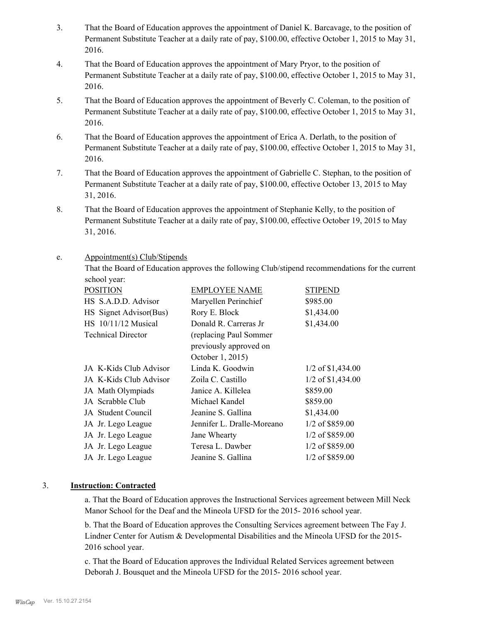- That the Board of Education approves the appointment of Daniel K. Barcavage, to the position of Permanent Substitute Teacher at a daily rate of pay, \$100.00, effective October 1, 2015 to May 31, 2016. 3.
- That the Board of Education approves the appointment of Mary Pryor, to the position of Permanent Substitute Teacher at a daily rate of pay, \$100.00, effective October 1, 2015 to May 31, 2016. 4.
- That the Board of Education approves the appointment of Beverly C. Coleman, to the position of Permanent Substitute Teacher at a daily rate of pay, \$100.00, effective October 1, 2015 to May 31, 2016. 5.
- That the Board of Education approves the appointment of Erica A. Derlath, to the position of Permanent Substitute Teacher at a daily rate of pay, \$100.00, effective October 1, 2015 to May 31, 2016. 6.
- That the Board of Education approves the appointment of Gabrielle C. Stephan, to the position of Permanent Substitute Teacher at a daily rate of pay, \$100.00, effective October 13, 2015 to May 31, 2016. 7.
- That the Board of Education approves the appointment of Stephanie Kelly, to the position of Permanent Substitute Teacher at a daily rate of pay, \$100.00, effective October 19, 2015 to May 31, 2016. 8.

#### Appointment(s) Club/Stipends e.

That the Board of Education approves the following Club/stipend recommendations for the current school year:

| <b>POSITION</b>           | <b>EMPLOYEE NAME</b>       | STIPEND             |
|---------------------------|----------------------------|---------------------|
| HS S.A.D.D. Advisor       | Maryellen Perinchief       | \$985.00            |
| HS Signet Advisor(Bus)    | Rory E. Block              | \$1,434.00          |
| HS 10/11/12 Musical       | Donald R. Carreras Jr      | \$1,434.00          |
| <b>Technical Director</b> | (replacing Paul Sommer     |                     |
|                           | previously approved on     |                     |
|                           | October 1, 2015)           |                     |
| JA K-Kids Club Advisor    | Linda K. Goodwin           | $1/2$ of \$1,434.00 |
| JA K-Kids Club Advisor    | Zoila C. Castillo          | $1/2$ of \$1,434.00 |
| JA Math Olympiads         | Janice A. Killelea         | \$859.00            |
| JA Scrabble Club          | Michael Kandel             | \$859.00            |
| JA Student Council        | Jeanine S. Gallina         | \$1,434.00          |
| JA Jr. Lego League        | Jennifer L. Dralle-Moreano | 1/2 of \$859.00     |
| JA Jr. Lego League        | Jane Whearty               | 1/2 of \$859.00     |
| JA Jr. Lego League        | Teresa L. Dawber           | 1/2 of \$859.00     |
| JA Jr. Lego League        | Jeanine S. Gallina         | 1/2 of \$859.00     |

### 3. **Instruction: Contracted**

a. That the Board of Education approves the Instructional Services agreement between Mill Neck Manor School for the Deaf and the Mineola UFSD for the 2015- 2016 school year.

b. That the Board of Education approves the Consulting Services agreement between The Fay J. Lindner Center for Autism & Developmental Disabilities and the Mineola UFSD for the 2015- 2016 school year.

c. That the Board of Education approves the Individual Related Services agreement between Deborah J. Bousquet and the Mineola UFSD for the 2015- 2016 school year.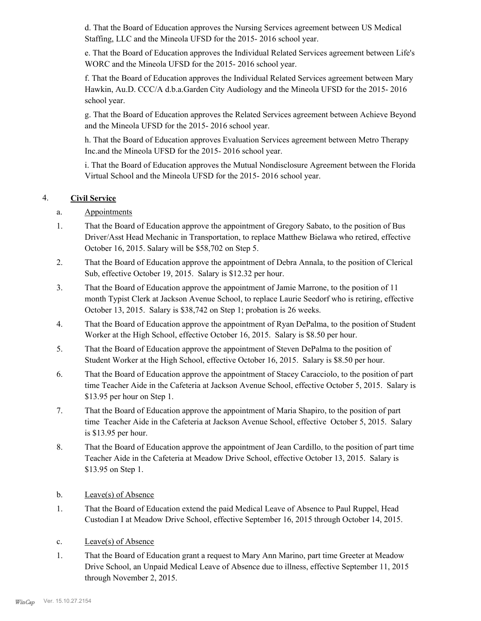d. That the Board of Education approves the Nursing Services agreement between US Medical Staffing, LLC and the Mineola UFSD for the 2015- 2016 school year.

e. That the Board of Education approves the Individual Related Services agreement between Life's WORC and the Mineola UFSD for the 2015- 2016 school year.

f. That the Board of Education approves the Individual Related Services agreement between Mary Hawkin, Au.D. CCC/A d.b.a.Garden City Audiology and the Mineola UFSD for the 2015- 2016 school year.

g. That the Board of Education approves the Related Services agreement between Achieve Beyond and the Mineola UFSD for the 2015- 2016 school year.

h. That the Board of Education approves Evaluation Services agreement between Metro Therapy Inc.and the Mineola UFSD for the 2015- 2016 school year.

i. That the Board of Education approves the Mutual Nondisclosure Agreement between the Florida Virtual School and the Mineola UFSD for the 2015- 2016 school year.

# 4. **Civil Service**

- a. Appointments
- That the Board of Education approve the appointment of Gregory Sabato, to the position of Bus Driver/Asst Head Mechanic in Transportation, to replace Matthew Bielawa who retired, effective October 16, 2015. Salary will be \$58,702 on Step 5. 1.
- That the Board of Education approve the appointment of Debra Annala, to the position of Clerical Sub, effective October 19, 2015. Salary is \$12.32 per hour. 2.
- That the Board of Education approve the appointment of Jamie Marrone, to the position of 11 month Typist Clerk at Jackson Avenue School, to replace Laurie Seedorf who is retiring, effective October 13, 2015. Salary is \$38,742 on Step 1; probation is 26 weeks. 3.
- That the Board of Education approve the appointment of Ryan DePalma, to the position of Student Worker at the High School, effective October 16, 2015. Salary is \$8.50 per hour. 4.
- That the Board of Education approve the appointment of Steven DePalma to the position of Student Worker at the High School, effective October 16, 2015. Salary is \$8.50 per hour. 5.
- That the Board of Education approve the appointment of Stacey Caracciolo, to the position of part time Teacher Aide in the Cafeteria at Jackson Avenue School, effective October 5, 2015. Salary is \$13.95 per hour on Step 1. 6.
- That the Board of Education approve the appointment of Maria Shapiro, to the position of part time Teacher Aide in the Cafeteria at Jackson Avenue School, effective October 5, 2015. Salary is \$13.95 per hour. 7.
- That the Board of Education approve the appointment of Jean Cardillo, to the position of part time Teacher Aide in the Cafeteria at Meadow Drive School, effective October 13, 2015. Salary is \$13.95 on Step 1. 8.
- b. Leave(s) of Absence
- That the Board of Education extend the paid Medical Leave of Absence to Paul Ruppel, Head Custodian I at Meadow Drive School, effective September 16, 2015 through October 14, 2015. 1.
- c. Leave(s) of Absence
- That the Board of Education grant a request to Mary Ann Marino, part time Greeter at Meadow Drive School, an Unpaid Medical Leave of Absence due to illness, effective September 11, 2015 through November 2, 2015. 1.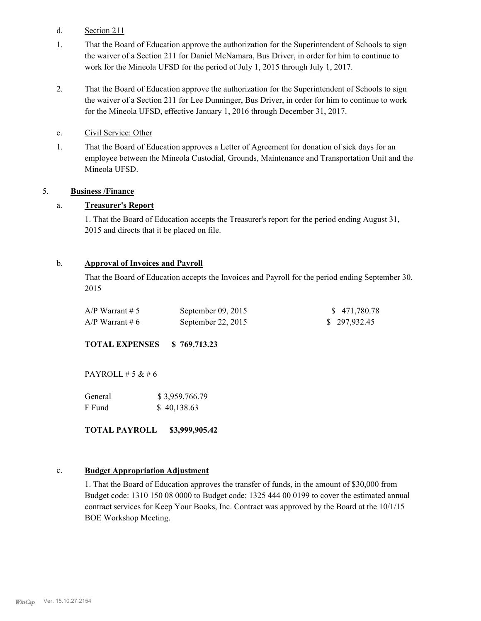- d. Section 211
- That the Board of Education approve the authorization for the Superintendent of Schools to sign the waiver of a Section 211 for Daniel McNamara, Bus Driver, in order for him to continue to work for the Mineola UFSD for the period of July 1, 2015 through July 1, 2017. 1.
- That the Board of Education approve the authorization for the Superintendent of Schools to sign the waiver of a Section 211 for Lee Dunninger, Bus Driver, in order for him to continue to work for the Mineola UFSD, effective January 1, 2016 through December 31, 2017. 2.
- e. Civil Service: Other
- That the Board of Education approves a Letter of Agreement for donation of sick days for an employee between the Mineola Custodial, Grounds, Maintenance and Transportation Unit and the Mineola UFSD. 1.

#### 5. **Business /Finance**

#### a. **Treasurer's Report**

1. That the Board of Education accepts the Treasurer's report for the period ending August 31, 2015 and directs that it be placed on file.

#### b. **Approval of Invoices and Payroll**

That the Board of Education accepts the Invoices and Payroll for the period ending September 30, 2015

| $A/P$ Warrant # 5 | September $09, 2015$ | \$471,780.78 |
|-------------------|----------------------|--------------|
| $A/P$ Warrant # 6 | September 22, $2015$ | \$297,932.45 |

**TOTAL EXPENSES \$ 769,713.23**

PAYROLL  $# 5 & 46$ 

| General | \$3,959,766.79 |
|---------|----------------|
| F Fund  | \$40,138.63    |

**TOTAL PAYROLL \$3,999,905.42**

#### c. **Budget Appropriation Adjustment**

1. That the Board of Education approves the transfer of funds, in the amount of \$30,000 from Budget code: 1310 150 08 0000 to Budget code: 1325 444 00 0199 to cover the estimated annual contract services for Keep Your Books, Inc. Contract was approved by the Board at the 10/1/15 BOE Workshop Meeting.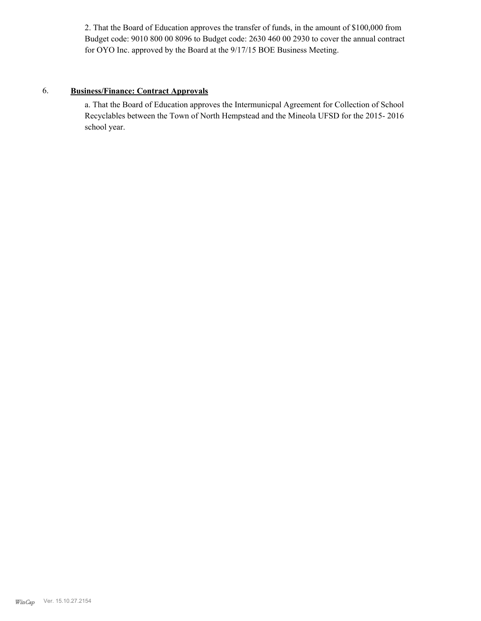2. That the Board of Education approves the transfer of funds, in the amount of \$100,000 from Budget code: 9010 800 00 8096 to Budget code: 2630 460 00 2930 to cover the annual contract for OYO Inc. approved by the Board at the 9/17/15 BOE Business Meeting.

### 6. **Business/Finance: Contract Approvals**

a. That the Board of Education approves the Intermunicpal Agreement for Collection of School Recyclables between the Town of North Hempstead and the Mineola UFSD for the 2015- 2016 school year.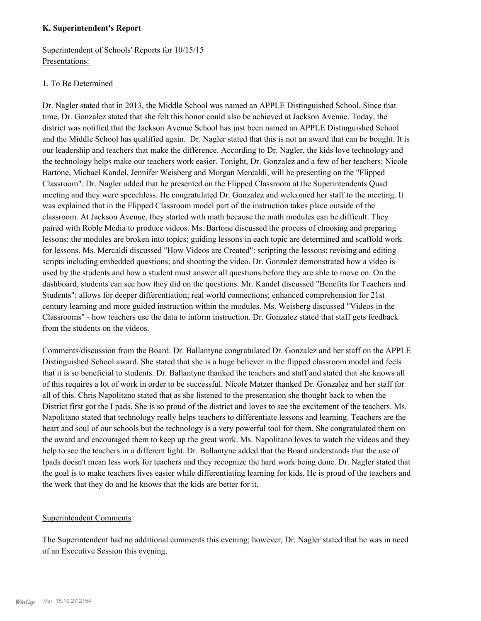#### **K. Superintendent's Report**

# Superintendent of Schools' Reports for 10/15/15 Presentations:

# 1. To Be Determined

Dr. Nagler stated that in 2013, the Middle School was named an APPLE Distinguished School. Since that time, Dr. Gonzalez stated that she felt this honor could also be achieved at Jackson Avenue. Today, the district was notified that the Jackson Avenue School has just been named an APPLE Distinguished School and the Middle School has qualified again. Dr. Nagler stated that this is not an award that can be bought. It is our leadership and teachers that make the difference. According to Dr. Nagler, the kids love technology and the technology helps make our teachers work easier. Tonight, Dr. Gonzalez and a few of her teachers: Nicole Bartone, Michael Kandel, Jennifer Weisberg and Morgan Mercaldi, will be presenting on the "Flipped Classroom". Dr. Nagler added that he presented on the Flipped Classroom at the Superintendents Quad meeting and they were speechless. He congratulated Dr. Gonzalez and welcomed her staff to the meeting. It was explained that in the Flipped Classroom model part of the instruction takes place outside of the classroom. At Jackson Avenue, they started with math because the math modules can be difficult. They paired with Roble Media to produce videos. Ms. Bartone discussed the process of choosing and preparing lessons: the modules are broken into topics; guiding lessons in each topic are determined and scaffold work for lessons. Ms. Mercaldi discussed "How Videos are Created": scripting the lessons; revising and editing scripts including embedded questions; and shooting the video. Dr. Gonzalez demonstrated how a video is used by the students and how a student must answer all questions before they are able to move on. On the dashboard, students can see how they did on the questions. Mr. Kandel discussed "Benefits for Teachers and Students": allows for deeper differentiation; real world connections; enhanced comprehension for 21st century learning and more guided instruction within the modules. Ms. Weisberg discussed "Videos in the Classrooms" - how teachers use the data to inform instruction. Dr. Gonzalez stated that staff gets feedback from the students on the videos.

Comments/discussion from the Board. Dr. Ballantyne congratulated Dr. Gonzalez and her staff on the APPLE Distinguished School award. She stated that she is a huge believer in the flipped classroom model and feels that it is so beneficial to students. Dr. Ballantyne thanked the teachers and staff and stated that she knows all of this requires a lot of work in order to be successful. Nicole Matzer thanked Dr. Gonzalez and her staff for all of this. Chris Napolitano stated that as she listened to the presentation she thought back to when the District first got the I pads. She is so proud of the district and loves to see the excitement of the teachers. Ms. Napolitano stated that technology really helps teachers to differentiate lessons and learning. Teachers are the heart and soul of our schools but the technology is a very powerful tool for them. She congratulated them on the award and encouraged them to keep up the great work. Ms. Napolitano loves to watch the videos and they help to see the teachers in a different light. Dr. Ballantyne added that the Board understands that the use of Ipads doesn't mean less work for teachers and they recognize the hard work being done. Dr. Nagler stated that the goal is to make teachers lives easier while differentiating learning for kids. He is proud of the teachers and the work that they do and he knows that the kids are better for it.

# Superintendent Comments

The Superintendent had no additional comments this evening; however, Dr. Nagler stated that he was in need of an Executive Session this evening.